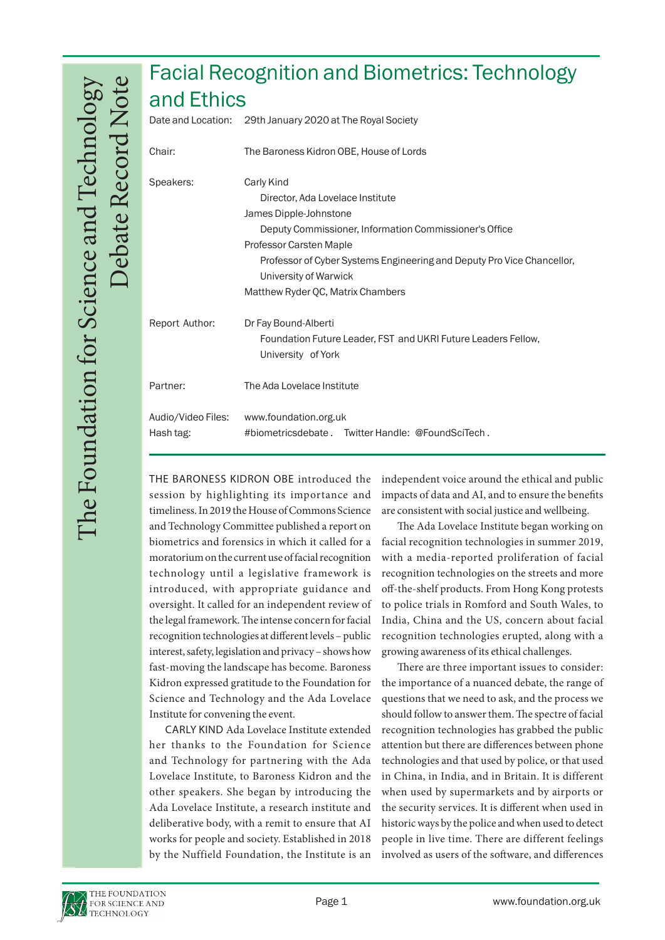## Facial Recognition and Biometrics: Technology and Ethics

|                                 | Date and Location: 29th January 2020 at The Royal Society                                                                                                                                                                                                                                             |
|---------------------------------|-------------------------------------------------------------------------------------------------------------------------------------------------------------------------------------------------------------------------------------------------------------------------------------------------------|
| Chair:                          | The Baroness Kidron OBE, House of Lords                                                                                                                                                                                                                                                               |
| Speakers:                       | Carly Kind<br>Director, Ada Lovelace Institute<br>James Dipple-Johnstone<br>Deputy Commissioner, Information Commissioner's Office<br>Professor Carsten Maple<br>Professor of Cyber Systems Engineering and Deputy Pro Vice Chancellor,<br>University of Warwick<br>Matthew Ryder QC, Matrix Chambers |
| Report Author:                  | Dr Fay Bound-Alberti<br>Foundation Future Leader, FST and UKRI Future Leaders Fellow,<br>University of York                                                                                                                                                                                           |
| Partner:                        | The Ada Lovelace Institute                                                                                                                                                                                                                                                                            |
| Audio/Video Files:<br>Hash tag: | www.foundation.org.uk<br>#biometricsdebate. Twitter Handle: @FoundSciTech.                                                                                                                                                                                                                            |

THE BARONESS KIDRON OBE introduced the session by highlighting its importance and timeliness. In 2019 the House of Commons Science and Technology Committee published a report on biometrics and forensics in which it called for a moratorium on the current use of facial recognition technology until a legislative framework is introduced, with appropriate guidance and oversight. It called for an independent review of the legal framework. The intense concern for facial recognition technologies at different levels – public interest, safety, legislation and privacy – shows how fast-moving the landscape has become. Baroness Kidron expressed gratitude to the Foundation for Science and Technology and the Ada Lovelace Institute for convening the event.

CARLY KIND Ada Lovelace Institute extended her thanks to the Foundation for Science and Technology for partnering with the Ada Lovelace Institute, to Baroness Kidron and the other speakers. She began by introducing the Ada Lovelace Institute, a research institute and deliberative body, with a remit to ensure that AI works for people and society. Established in 2018 by the Nuffield Foundation, the Institute is an

independent voice around the ethical and public impacts of data and AI, and to ensure the benefits are consistent with social justice and wellbeing.

The Ada Lovelace Institute began working on facial recognition technologies in summer 2019, with a media-reported proliferation of facial recognition technologies on the streets and more off-the-shelf products. From Hong Kong protests to police trials in Romford and South Wales, to India, China and the US, concern about facial recognition technologies erupted, along with a growing awareness of its ethical challenges.

There are three important issues to consider: the importance of a nuanced debate, the range of questions that we need to ask, and the process we should follow to answer them. The spectre of facial recognition technologies has grabbed the public attention but there are differences between phone technologies and that used by police, or that used in China, in India, and in Britain. It is different when used by supermarkets and by airports or the security services. It is different when used in historic ways by the police and when used to detect people in live time. There are different feelings involved as users of the software, and differences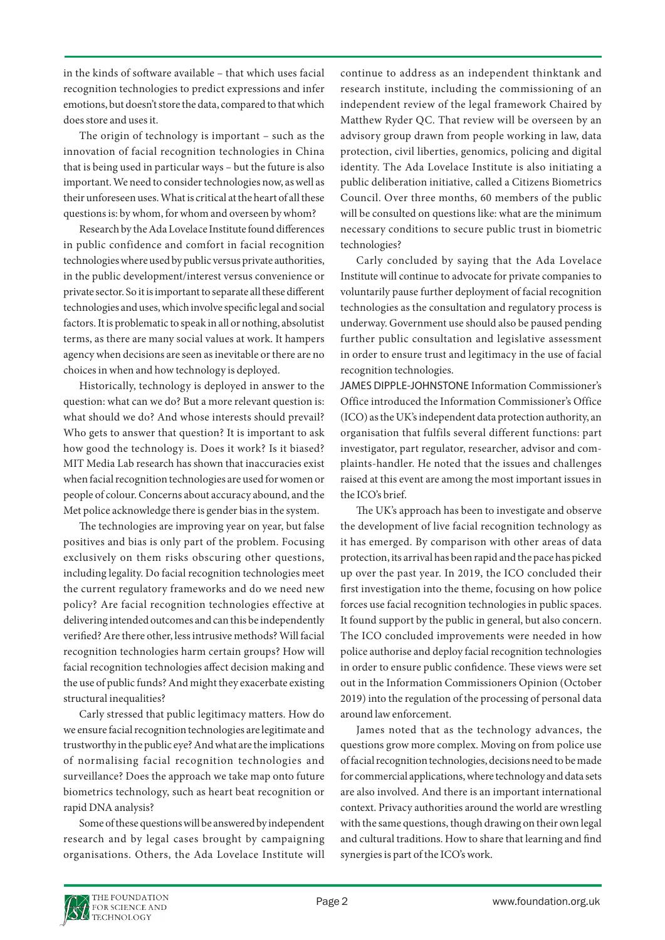in the kinds of software available – that which uses facial recognition technologies to predict expressions and infer emotions, but doesn't store the data, compared to that which does store and uses it.

The origin of technology is important – such as the innovation of facial recognition technologies in China that is being used in particular ways – but the future is also important. We need to consider technologies now, as well as their unforeseen uses. What is critical at the heart of all these questions is: by whom, for whom and overseen by whom?

Research by the Ada Lovelace Institute found differences in public confidence and comfort in facial recognition technologies where used by public versus private authorities, in the public development/interest versus convenience or private sector. So it is important to separate all these different technologies and uses, which involve specific legal and social factors. It is problematic to speak in all or nothing, absolutist terms, as there are many social values at work. It hampers agency when decisions are seen as inevitable or there are no choices in when and how technology is deployed.

Historically, technology is deployed in answer to the question: what can we do? But a more relevant question is: what should we do? And whose interests should prevail? Who gets to answer that question? It is important to ask how good the technology is. Does it work? Is it biased? MIT Media Lab research has shown that inaccuracies exist when facial recognition technologies are used for women or people of colour. Concerns about accuracy abound, and the Met police acknowledge there is gender bias in the system.

The technologies are improving year on year, but false positives and bias is only part of the problem. Focusing exclusively on them risks obscuring other questions, including legality. Do facial recognition technologies meet the current regulatory frameworks and do we need new policy? Are facial recognition technologies effective at delivering intended outcomes and can this be independently verified? Are there other, less intrusive methods? Will facial recognition technologies harm certain groups? How will facial recognition technologies affect decision making and the use of public funds? And might they exacerbate existing structural inequalities?

Carly stressed that public legitimacy matters. How do we ensure facial recognition technologies are legitimate and trustworthy in the public eye? And what are the implications of normalising facial recognition technologies and surveillance? Does the approach we take map onto future biometrics technology, such as heart beat recognition or rapid DNA analysis?

Some of these questions will be answered by independent research and by legal cases brought by campaigning organisations. Others, the Ada Lovelace Institute will continue to address as an independent thinktank and research institute, including the commissioning of an independent review of the legal framework Chaired by Matthew Ryder QC. That review will be overseen by an advisory group drawn from people working in law, data protection, civil liberties, genomics, policing and digital identity. The Ada Lovelace Institute is also initiating a public deliberation initiative, called a Citizens Biometrics Council. Over three months, 60 members of the public will be consulted on questions like: what are the minimum necessary conditions to secure public trust in biometric technologies?

Carly concluded by saying that the Ada Lovelace Institute will continue to advocate for private companies to voluntarily pause further deployment of facial recognition technologies as the consultation and regulatory process is underway. Government use should also be paused pending further public consultation and legislative assessment in order to ensure trust and legitimacy in the use of facial recognition technologies.

JAMES DIPPLE-JOHNSTONE Information Commissioner's Office introduced the Information Commissioner's Office (ICO) as the UK's independent data protection authority, an organisation that fulfils several different functions: part investigator, part regulator, researcher, advisor and complaints-handler. He noted that the issues and challenges raised at this event are among the most important issues in the ICO's brief.

The UK's approach has been to investigate and observe the development of live facial recognition technology as it has emerged. By comparison with other areas of data protection, its arrival has been rapid and the pace has picked up over the past year. In 2019, the ICO concluded their first investigation into the theme, focusing on how police forces use facial recognition technologies in public spaces. It found support by the public in general, but also concern. The ICO concluded improvements were needed in how police authorise and deploy facial recognition technologies in order to ensure public confidence. These views were set out in the Information Commissioners Opinion (October 2019) into the regulation of the processing of personal data around law enforcement.

James noted that as the technology advances, the questions grow more complex. Moving on from police use of facial recognition technologies, decisions need to be made for commercial applications, where technology and data sets are also involved. And there is an important international context. Privacy authorities around the world are wrestling with the same questions, though drawing on their own legal and cultural traditions. How to share that learning and find synergies is part of the ICO's work.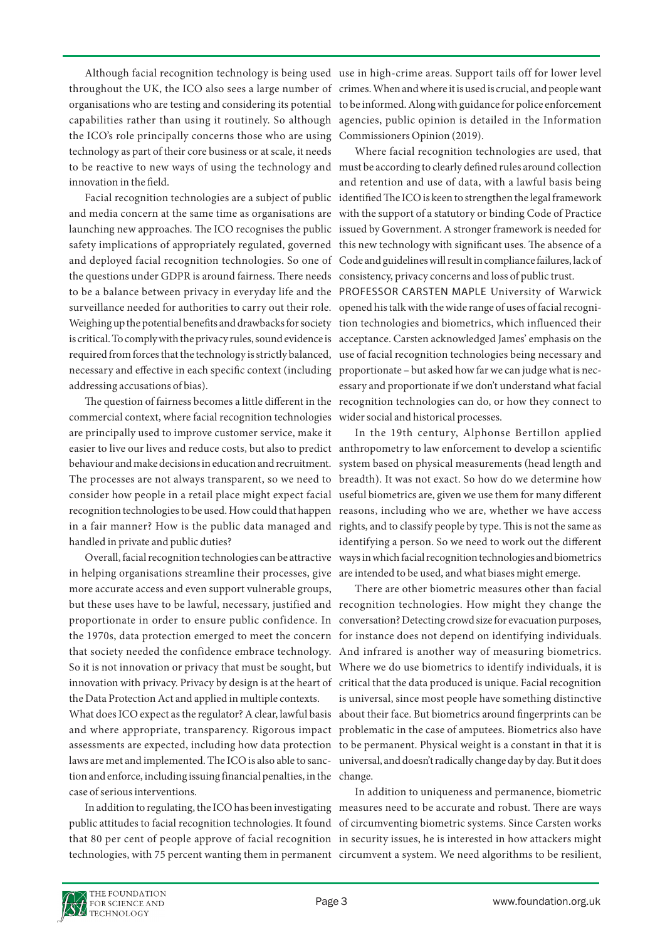capabilities rather than using it routinely. So although the ICO's role principally concerns those who are using technology as part of their core business or at scale, it needs to be reactive to new ways of using the technology and must be according to clearly defined rules around collection innovation in the field.

and media concern at the same time as organisations are launching new approaches. The ICO recognises the public safety implications of appropriately regulated, governed and deployed facial recognition technologies. So one of the questions under GDPR is around fairness. There needs to be a balance between privacy in everyday life and the surveillance needed for authorities to carry out their role. Weighing up the potential benefits and drawbacks for society is critical. To comply with the privacy rules, sound evidence is required from forces that the technology is strictly balanced, necessary and effective in each specific context (including addressing accusations of bias).

commercial context, where facial recognition technologies wider social and historical processes. are principally used to improve customer service, make it easier to live our lives and reduce costs, but also to predict anthropometry to law enforcement to develop a scientific behaviour and make decisions in education and recruitment. The processes are not always transparent, so we need to consider how people in a retail place might expect facial recognition technologies to be used. How could that happen in a fair manner? How is the public data managed and rights, and to classify people by type. This is not the same as handled in private and public duties?

in helping organisations streamline their processes, give are intended to be used, and what biases might emerge. more accurate access and even support vulnerable groups, but these uses have to be lawful, necessary, justified and recognition technologies. How might they change the proportionate in order to ensure public confidence. In the 1970s, data protection emerged to meet the concern that society needed the confidence embrace technology. So it is not innovation or privacy that must be sought, but innovation with privacy. Privacy by design is at the heart of critical that the data produced is unique. Facial recognition the Data Protection Act and applied in multiple contexts. What does ICO expect as the regulator? A clear, lawful basis

assessments are expected, including how data protection to be permanent. Physical weight is a constant in that it is laws are met and implemented. The ICO is also able to sanction and enforce, including issuing financial penalties, in the change. case of serious interventions.

public attitudes to facial recognition technologies. It found of circumventing biometric systems. Since Carsten works that 80 per cent of people approve of facial recognition in security issues, he is interested in how attackers might technologies, with 75 percent wanting them in permanent circumvent a system. We need algorithms to be resilient,

Although facial recognition technology is being used use in high-crime areas. Support tails off for lower level throughout the UK, the ICO also sees a large number of crimes. When and where it is used is crucial, and people want organisations who are testing and considering its potential to be informed. Along with guidance for police enforcement agencies, public opinion is detailed in the Information Commissioners Opinion (2019).

Facial recognition technologies are a subject of public identified The ICO is keen to strengthen the legal framework Where facial recognition technologies are used, that and retention and use of data, with a lawful basis being with the support of a statutory or binding Code of Practice issued by Government. A stronger framework is needed for this new technology with significant uses. The absence of a Code and guidelines will result in compliance failures, lack of consistency, privacy concerns and loss of public trust.

The question of fairness becomes a little different in the recognition technologies can do, or how they connect to PROFESSOR CARSTEN MAPLE University of Warwick opened his talk with the wide range of uses of facial recognition technologies and biometrics, which influenced their acceptance. Carsten acknowledged James' emphasis on the use of facial recognition technologies being necessary and proportionate – but asked how far we can judge what is necessary and proportionate if we don't understand what facial

Overall, facial recognition technologies can be attractive ways in which facial recognition technologies and biometrics In the 19th century, Alphonse Bertillon applied system based on physical measurements (head length and breadth). It was not exact. So how do we determine how useful biometrics are, given we use them for many different reasons, including who we are, whether we have access identifying a person. So we need to work out the different

and where appropriate, transparency. Rigorous impact problematic in the case of amputees. Biometrics also have There are other biometric measures other than facial conversation? Detecting crowd size for evacuation purposes, for instance does not depend on identifying individuals. And infrared is another way of measuring biometrics. Where we do use biometrics to identify individuals, it is is universal, since most people have something distinctive about their face. But biometrics around fingerprints can be universal, and doesn't radically change day by day. But it does

In addition to regulating, the ICO has been investigating measures need to be accurate and robust. There are ways In addition to uniqueness and permanence, biometric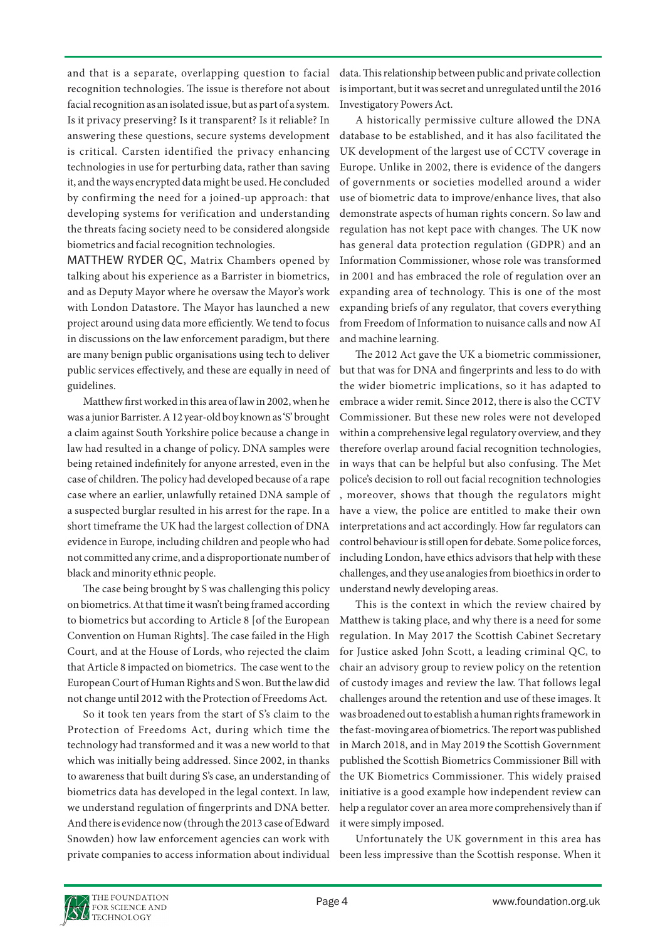and that is a separate, overlapping question to facial recognition technologies. The issue is therefore not about facial recognition as an isolated issue, but as part of a system. Is it privacy preserving? Is it transparent? Is it reliable? In answering these questions, secure systems development is critical. Carsten identified the privacy enhancing technologies in use for perturbing data, rather than saving it, and the ways encrypted data might be used. He concluded by confirming the need for a joined-up approach: that developing systems for verification and understanding the threats facing society need to be considered alongside biometrics and facial recognition technologies.

public services effectively, and these are equally in need of but that was for DNA and fingerprints and less to do with MATTHEW RYDER QC, Matrix Chambers opened by talking about his experience as a Barrister in biometrics, and as Deputy Mayor where he oversaw the Mayor's work with London Datastore. The Mayor has launched a new project around using data more efficiently. We tend to focus in discussions on the law enforcement paradigm, but there are many benign public organisations using tech to deliver guidelines.

Matthew first worked in this area of law in 2002, when he was a junior Barrister. A 12 year-old boy known as 'S' brought a claim against South Yorkshire police because a change in law had resulted in a change of policy. DNA samples were being retained indefinitely for anyone arrested, even in the case of children. The policy had developed because of a rape case where an earlier, unlawfully retained DNA sample of a suspected burglar resulted in his arrest for the rape. In a short timeframe the UK had the largest collection of DNA evidence in Europe, including children and people who had not committed any crime, and a disproportionate number of black and minority ethnic people.

The case being brought by S was challenging this policy on biometrics. At that time it wasn't being framed according to biometrics but according to Article 8 [of the European Convention on Human Rights]. The case failed in the High Court, and at the House of Lords, who rejected the claim that Article 8 impacted on biometrics. The case went to the European Court of Human Rights and S won. But the law did not change until 2012 with the Protection of Freedoms Act.

So it took ten years from the start of S's claim to the Protection of Freedoms Act, during which time the technology had transformed and it was a new world to that which was initially being addressed. Since 2002, in thanks to awareness that built during S's case, an understanding of biometrics data has developed in the legal context. In law, we understand regulation of fingerprints and DNA better. And there is evidence now (through the 2013 case of Edward Snowden) how law enforcement agencies can work with private companies to access information about individual

data. This relationship between public and private collection is important, but it was secret and unregulated until the 2016 Investigatory Powers Act.

A historically permissive culture allowed the DNA database to be established, and it has also facilitated the UK development of the largest use of CCTV coverage in Europe. Unlike in 2002, there is evidence of the dangers of governments or societies modelled around a wider use of biometric data to improve/enhance lives, that also demonstrate aspects of human rights concern. So law and regulation has not kept pace with changes. The UK now has general data protection regulation (GDPR) and an Information Commissioner, whose role was transformed in 2001 and has embraced the role of regulation over an expanding area of technology. This is one of the most expanding briefs of any regulator, that covers everything from Freedom of Information to nuisance calls and now AI and machine learning.

The 2012 Act gave the UK a biometric commissioner, the wider biometric implications, so it has adapted to embrace a wider remit. Since 2012, there is also the CCTV Commissioner. But these new roles were not developed within a comprehensive legal regulatory overview, and they therefore overlap around facial recognition technologies, in ways that can be helpful but also confusing. The Met police's decision to roll out facial recognition technologies , moreover, shows that though the regulators might have a view, the police are entitled to make their own interpretations and act accordingly. How far regulators can control behaviour is still open for debate. Some police forces, including London, have ethics advisors that help with these challenges, and they use analogies from bioethics in order to understand newly developing areas.

This is the context in which the review chaired by Matthew is taking place, and why there is a need for some regulation. In May 2017 the Scottish Cabinet Secretary for Justice asked John Scott, a leading criminal QC, to chair an advisory group to review policy on the retention of custody images and review the law. That follows legal challenges around the retention and use of these images. It was broadened out to establish a human rights framework in the fast-moving area of biometrics. The report was published in March 2018, and in May 2019 the Scottish Government published the Scottish Biometrics Commissioner Bill with the UK Biometrics Commissioner. This widely praised initiative is a good example how independent review can help a regulator cover an area more comprehensively than if it were simply imposed.

Unfortunately the UK government in this area has been less impressive than the Scottish response. When it